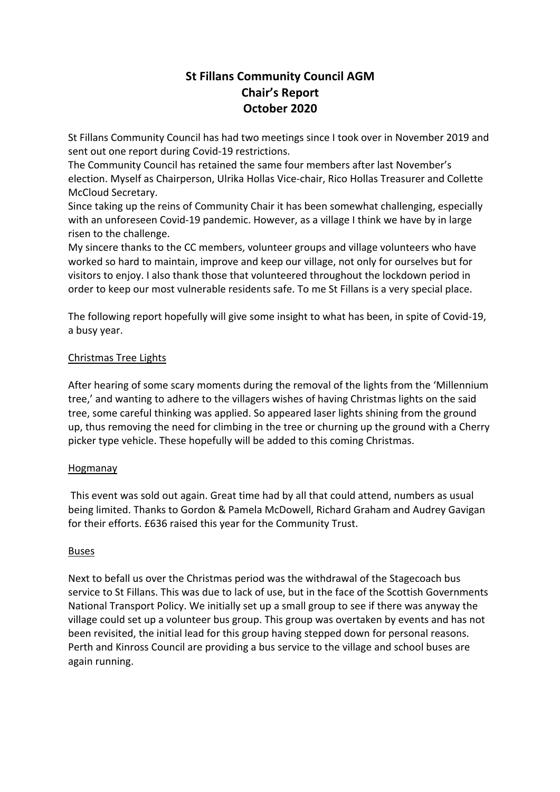# **St Fillans Community Council AGM Chair's Report October 2020**

St Fillans Community Council has had two meetings since I took over in November 2019 and sent out one report during Covid-19 restrictions.

The Community Council has retained the same four members after last November's election. Myself as Chairperson, Ulrika Hollas Vice-chair, Rico Hollas Treasurer and Collette McCloud Secretary.

Since taking up the reins of Community Chair it has been somewhat challenging, especially with an unforeseen Covid-19 pandemic. However, as a village I think we have by in large risen to the challenge.

My sincere thanks to the CC members, volunteer groups and village volunteers who have worked so hard to maintain, improve and keep our village, not only for ourselves but for visitors to enjoy. I also thank those that volunteered throughout the lockdown period in order to keep our most vulnerable residents safe. To me St Fillans is a very special place.

The following report hopefully will give some insight to what has been, in spite of Covid-19, a busy year.

### Christmas Tree Lights

After hearing of some scary moments during the removal of the lights from the 'Millennium tree,' and wanting to adhere to the villagers wishes of having Christmas lights on the said tree, some careful thinking was applied. So appeared laser lights shining from the ground up, thus removing the need for climbing in the tree or churning up the ground with a Cherry picker type vehicle. These hopefully will be added to this coming Christmas.

### Hogmanay

This event was sold out again. Great time had by all that could attend, numbers as usual being limited. Thanks to Gordon & Pamela McDowell, Richard Graham and Audrey Gavigan for their efforts. £636 raised this year for the Community Trust.

### Buses

Next to befall us over the Christmas period was the withdrawal of the Stagecoach bus service to St Fillans. This was due to lack of use, but in the face of the Scottish Governments National Transport Policy. We initially set up a small group to see if there was anyway the village could set up a volunteer bus group. This group was overtaken by events and has not been revisited, the initial lead for this group having stepped down for personal reasons. Perth and Kinross Council are providing a bus service to the village and school buses are again running.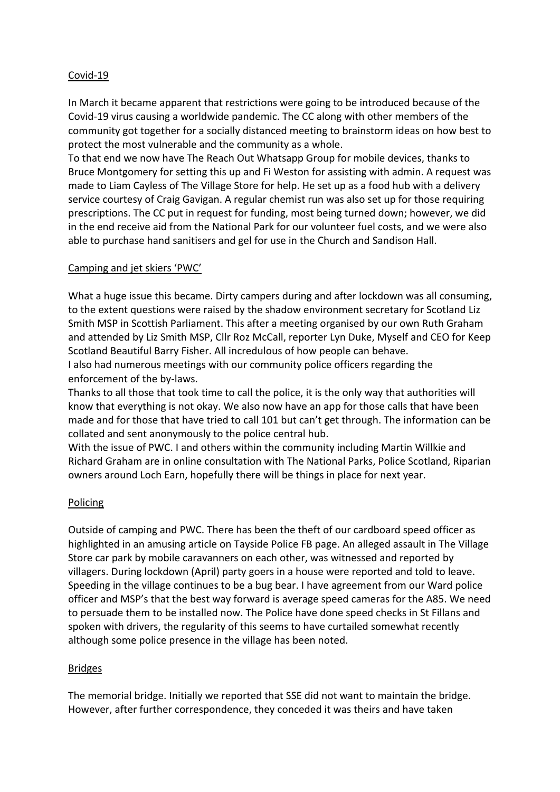### Covid-19

In March it became apparent that restrictions were going to be introduced because of the Covid-19 virus causing a worldwide pandemic. The CC along with other members of the community got together for a socially distanced meeting to brainstorm ideas on how best to protect the most vulnerable and the community as a whole.

To that end we now have The Reach Out Whatsapp Group for mobile devices, thanks to Bruce Montgomery for setting this up and Fi Weston for assisting with admin. A request was made to Liam Cayless of The Village Store for help. He set up as a food hub with a delivery service courtesy of Craig Gavigan. A regular chemist run was also set up for those requiring prescriptions. The CC put in request for funding, most being turned down; however, we did in the end receive aid from the National Park for our volunteer fuel costs, and we were also able to purchase hand sanitisers and gel for use in the Church and Sandison Hall.

#### Camping and jet skiers 'PWC'

What a huge issue this became. Dirty campers during and after lockdown was all consuming, to the extent questions were raised by the shadow environment secretary for Scotland Liz Smith MSP in Scottish Parliament. This after a meeting organised by our own Ruth Graham and attended by Liz Smith MSP, Cllr Roz McCall, reporter Lyn Duke, Myself and CEO for Keep Scotland Beautiful Barry Fisher. All incredulous of how people can behave. I also had numerous meetings with our community police officers regarding the enforcement of the by-laws.

Thanks to all those that took time to call the police, it is the only way that authorities will know that everything is not okay. We also now have an app for those calls that have been made and for those that have tried to call 101 but can't get through. The information can be collated and sent anonymously to the police central hub.

With the issue of PWC. I and others within the community including Martin Willkie and Richard Graham are in online consultation with The National Parks, Police Scotland, Riparian owners around Loch Earn, hopefully there will be things in place for next year.

#### Policing

Outside of camping and PWC. There has been the theft of our cardboard speed officer as highlighted in an amusing article on Tayside Police FB page. An alleged assault in The Village Store car park by mobile caravanners on each other, was witnessed and reported by villagers. During lockdown (April) party goers in a house were reported and told to leave. Speeding in the village continues to be a bug bear. I have agreement from our Ward police officer and MSP's that the best way forward is average speed cameras for the A85. We need to persuade them to be installed now. The Police have done speed checks in St Fillans and spoken with drivers, the regularity of this seems to have curtailed somewhat recently although some police presence in the village has been noted.

#### **Bridges**

The memorial bridge. Initially we reported that SSE did not want to maintain the bridge. However, after further correspondence, they conceded it was theirs and have taken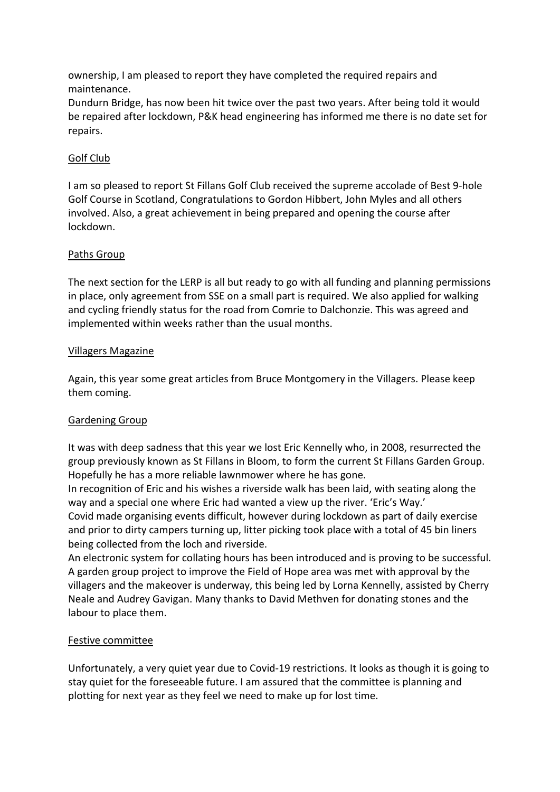ownership, I am pleased to report they have completed the required repairs and maintenance.

Dundurn Bridge, has now been hit twice over the past two years. After being told it would be repaired after lockdown, P&K head engineering has informed me there is no date set for repairs.

### Golf Club

I am so pleased to report St Fillans Golf Club received the supreme accolade of Best 9-hole Golf Course in Scotland, Congratulations to Gordon Hibbert, John Myles and all others involved. Also, a great achievement in being prepared and opening the course after lockdown.

### Paths Group

The next section for the LERP is all but ready to go with all funding and planning permissions in place, only agreement from SSE on a small part is required. We also applied for walking and cycling friendly status for the road from Comrie to Dalchonzie. This was agreed and implemented within weeks rather than the usual months.

### Villagers Magazine

Again, this year some great articles from Bruce Montgomery in the Villagers. Please keep them coming.

## Gardening Group

It was with deep sadness that this year we lost Eric Kennelly who, in 2008, resurrected the group previously known as St Fillans in Bloom, to form the current St Fillans Garden Group. Hopefully he has a more reliable lawnmower where he has gone.

In recognition of Eric and his wishes a riverside walk has been laid, with seating along the way and a special one where Eric had wanted a view up the river. 'Eric's Way.'

Covid made organising events difficult, however during lockdown as part of daily exercise and prior to dirty campers turning up, litter picking took place with a total of 45 bin liners being collected from the loch and riverside.

An electronic system for collating hours has been introduced and is proving to be successful. A garden group project to improve the Field of Hope area was met with approval by the villagers and the makeover is underway, this being led by Lorna Kennelly, assisted by Cherry Neale and Audrey Gavigan. Many thanks to David Methven for donating stones and the labour to place them.

### Festive committee

Unfortunately, a very quiet year due to Covid-19 restrictions. It looks as though it is going to stay quiet for the foreseeable future. I am assured that the committee is planning and plotting for next year as they feel we need to make up for lost time.